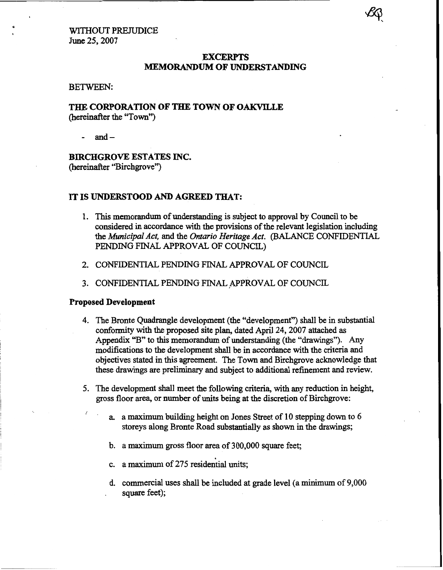#### WITHOUT PREJUDICE June **25,2007**

#### **EXCERPTS MEMORANDUM OF UNDERSTANDING**

#### BETWEEN:

# **THE CORPORATION OF THE TOWN OF OAKVILLE** (hereinafter the "Town")

and $-$ 

# **BIRCHGROVE ESTATES INC.**  (hereinafter "Birchgrove")

#### **IT IS UNDERSTOOD** *AND* **AGREED THAT:**

- 1. This memorandum of understanding is subject to approval by Council to be considered in accordance with the provisions of the relevant legislation including the *Municipal Act,* and the *Ontario Heritage Act.* (BALANCE CONFIDENTIAL PENDING FINAL APPROVAL OF COUNCIL)
- **2.** CONFIDENTIAL PENDING FINAL, APPROVAL OF COUNCIL
- 3. CONFIDENTIAL PENDING FINAL APPROVAL OF COUNCIL

#### **Proposed Development**

- **4.** The Bronte Quadrangle development (the "development") shall be in substantial conformity with the proposed site plan, dated April **24,2007** attached **as**  Appendix "B" to this memorandum of understanding (the "drawings"). **Any**  modifications to the development **shall** be in accordance with the criteria and objectives **stated** in **this** agreement. The Town and Birchgrove acknowledge that these drawings are preliminary and subject to additional refinement and review.
- **5.** The development **shall** meet the following criteria, with any reduction in height, gross floor area, **or** number of units being at the discretion of Birchgrove:
	- *1.*  **a.** a maximum building height on Jones Street **of** 10 stepping down to *6*  storeys along Bronte Road substantially **as shown** in the drawings;
		- b. a maximurn **gross** floor area of 300,000 square feet;
		- c. **a** maximum of **275** residential units;
		- d. commercial uses shall be included at grade level **(a** minimum of 9,000 square feet);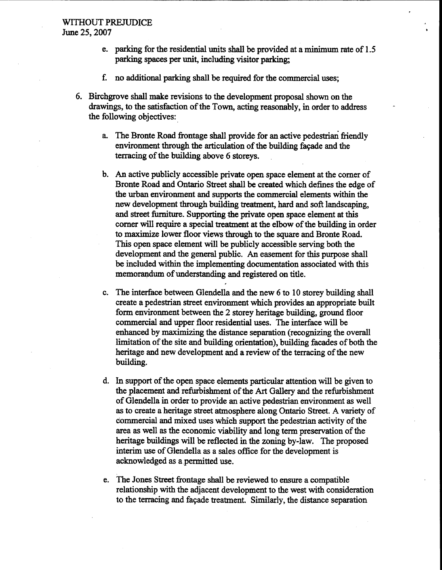#### **WITHOUT PREJUDICE**  June 25,2007 **<sup>b</sup>**

- e. parking for the residential units **shall** be provided at a minimum rate of 1.5 parking spaces **per unit,** including visitor parking;
- f. **no** additional parking shall be required for the commercial uses;
- *6.* Birchgrove shall make revisions to the development proposal shown **on** the drawings, to the satisfhction of the Town, acting reasonably, in order to **address**  the following objectives:
	- a The Bronte **Road** frontage shall provide for an active pedestrian friendly environment through the articulation of the building fagade and the terracing of the building above *6* storeys.
	- b. *An* active publicly accessible private openspace element at the corner of Bronte Road and **Ontario** Street shall be created which defines the edge of the urban environment and supports the commercial elements within the new development through building treatment, hard and **soft** landscaping, and street finnitwe. Supporting the private open space element at this comer will require a special treatment at the elbow of the building **in** order to maximize lower floor views through to the square and Bronte Road. **This** open space element will be publicly accessible serving both the development and the general public. An easement for this purpose shall be included within the implementing documentation associated with **this**  memorandum of understanding and registered on title.
	- c. The interface between Glendella and the new *6* to 10 storey building shall create a pedestrian street environment which provides an appropriate built form environment between the 2 storey heritage building, ground floor commercial and upper floor residential uses. The interface will be enhanced by maximizing the distance separation (recognizing the overall limitation of the site and building orientation), building facades of both the heritage and new development and **a** review of the terracing of the new building.
	- d. In support of the open space elements particular attention will be given to the placement and refurbishment of the *Art* Gallery and the refurbishment of Glendella in order to provide an active pedestrian environment **as** well **as** to create a heritage street atmosphere along **Ontario** Street. **A** variety of commercial and mixed uses which support the pedestrian activity of the area **as** well **as** the economic viability and long term preservation of the heritage buildings will be reflected in the zoning by-law. The proposed interim use of Glendella **as a** sales office for the development is acknowledged **as** apermitted use.
	- e. The Jones Street frontage **shall** be reviewed to ensure a compatible relationship with the adjacent development to the west with consideration to the terracing and faqade treatment. Similarly, the distance separation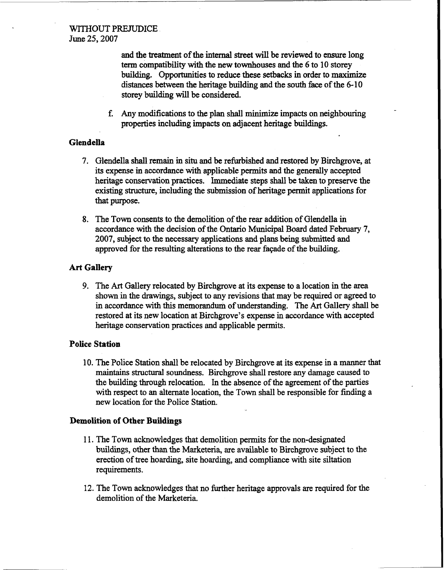### **WITHOUT PREJUDICE**  June 25,2007

and the treatment of the **internal street** will be reviewed to ensure long tenn compatibility with the new townhouses and the **6** to 10 storey building. Opportunities to reduce these setbacks in order to **maximize**  distances between the heritage building and the **south** face of the *6-* 10 storey building will be considered.

**f. Any** modifications to the plan shall **minimize** impacts on neighbouring properties including impacts on adjacent heritage buildings.

# **Glendella**

- **7.** Glendella shall remain in situ and be refurbished and restored by Birchgrove, at its expense in accordance with applicable permits and the generally accepted heritage conservation practices. Immediate **steps** shall be taken to preserve the existing structure, including the submission of heritage permit applications for that purpose.
- **8.** The Town consents to the demolition of the rear addition of Glendella in accordance with the decision of the Ontario Municipal Board dated February **7, 2007,** subject to the necessary applications and plans being submitted and approved for the resulting alterations to the rear faqade of the building.

# **Art Gallery**

9. The *Art* Gallery relocated by Birchgrove at its expense to a location in the area shown in the drawings, subject to any revisions that may be required or agreed to in accordance with this memorandum **of** understanding. The *Art* Gallery shall be restored at its new location at Birchgrove's expense in accordance with accepted heritage conservation practices and applicable permits.

#### **Police Station**

10. The Police Station shall be relocated by Birchgrove at its expense in a manner that **maintains** structural soundness. Birchgrove shall restore any damage caused to the building **through** relocation. In the absence of the agreement of the parties with respect to **an** alternate location, the Town shall be responsible for finding a new location for the Police Station.

#### **Demolition of Other Buildings**

- 1 1. The Town acknowledges that demolition permits for the non-designated buildings, other than the Marketeria, are available to Birchgrove subject to the erection **of** tree hoarding, site hoarding, and compliance with site siltation requirements.
- **12.** The Town acknowledges that no further heritage approvals are required **for** the demolition of the Marketeria.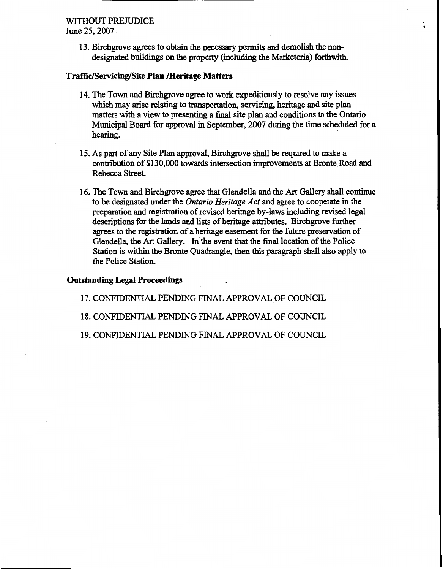# WITHOUT PRETUDICE

June 25,2007

13. Birchgrove *agrees* to obtain the necessary pennits and demolish the nondesignated buildings **on** the property (including the Marketeria) forthwith.

#### **Traffic/Servicing/Site Plan meritage Matters**

- 14. The Town and Birchgrove agree to work expeditiously to resolve any issues which may arise relating to transportation, servicing, heritage and site plan matters with a view to presenting a final site plan and conditions to the **Ontario**  Municipal Board for approval in September, 2007 during the time scheduled for a hearing.
- **15.** *As* part of any Site Plan approval, Birchgrove shall be required to make a contribution of \$130,000 towards intersection improvements at Bronte Road and Rebecca Street.
- **16.** The Town and Birchgrove agree that Glendella and the *Art* Gallery **shall** continue to be designated under the *Ontario Heritage Act* and agree to cooperate in the preparation and registration of revised heritage by-laws including revised legal descriptions for **the** lands and lists **of** heritage attributes. Birchgrove further **agrees** to the registration of a heritage easement for the future preservation of Glendella, the *Art* Gallery. In the event that the final location of the Police Station is within the Bronte Quadrangle, then this paragraph **shall also** apply to the Police Station.

#### **Outstanding Legal Proceedings**

**17.** CONFIDENTIAL PENDING FINAL APPROVAL OF COUNCIL

**18.** CONFIDENTIAL PENDING FINAL APPROVAL OF COUNCIL

**19.** CONFIDENTIAL PENDING FINAL APPROVAL OF COUNCIL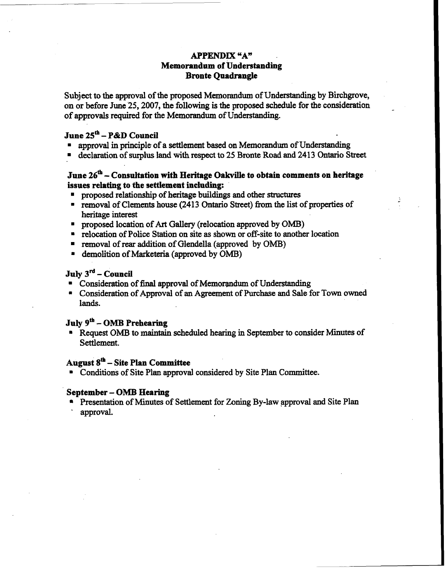# **APPENDIX "A" Memorandum of Understanding Bronte Quadrangle**

**Subject** to the approval **of** the proposed Memorandum of Understanding by Birchgrove, on or before June **25,2007,** the following is the proposed schedule for the consideration **of** approvals required for the Memorandum of Understanding.

# **June 25'h** - **P&D Council**

- **E** approval in principle of a settlement based on Memorandum of Understanding
- declaration **of** surplus land **with** respect to **25** Bronte **Road** and **2413 Ontario** Street

# **June 26<sup>th</sup> – Consultation with Heritage Oakville to obtain comments on heritage issues relating to the settlement including:**

- **Proposed relationship of heritage buildings and other structures**
- <sup>=</sup>removal of Clements house **(2413 Ontario** Street) **from** the list of properties of heritage interest
- . proposed location of *Art Gallery* (relocation approved by **OMB)**
- **<sup>m</sup>**relocation of Police **Station on** site **as** shown or off-site to another location
- removal of rear **addition of** Glendella (approved by **OMB)**
- **E** demolition of Marketeria (approved by OMB)

# **July 3<sup>rd</sup> – Council**

- Consideration of final approval of Memorandum of Understanding
- <sup>=</sup>Consideration of Approval **of** an Agreement of Purchase **and Sale** for Town owned **lands.**

# **July gtb** - **OMB Preheariug**

. Request **OMB** to **maintain** scheduled hearing in September to consider Minutes of Settlement.

## **August 8&** - **Site Plan Committee**

. **Conditions** of Site Plan approval considered by Site Plan Committee.

#### **September** - *OMB* **Hearing**

- Presentation of Minutes **of** Settlement **for Zoning** By-law approval and Site Plan
- approval.